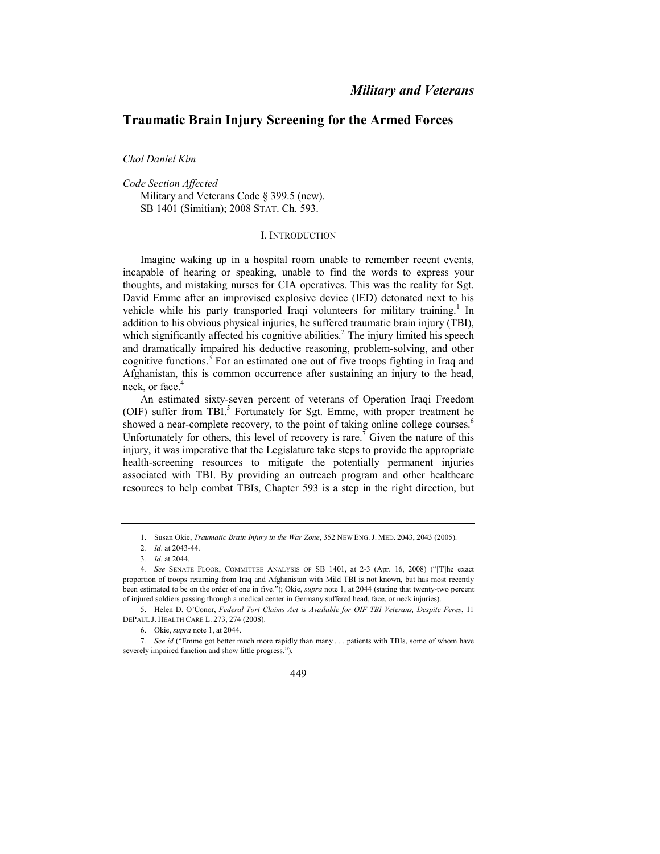# **Traumatic Brain Injury Screening for the Armed Forces**

*Chol Daniel Kim* 

*Code Section Affected* Military and Veterans Code § 399.5 (new). SB 1401 (Simitian); 2008 STAT. Ch. 593.

### I. INTRODUCTION

Imagine waking up in a hospital room unable to remember recent events, incapable of hearing or speaking, unable to find the words to express your thoughts, and mistaking nurses for CIA operatives. This was the reality for Sgt. David Emme after an improvised explosive device (IED) detonated next to his vehicle while his party transported Iraqi volunteers for military training.<sup>1</sup> In addition to his obvious physical injuries, he suffered traumatic brain injury (TBI), which significantly affected his cognitive abilities.<sup>2</sup> The injury limited his speech and dramatically impaired his deductive reasoning, problem-solving, and other cognitive functions.<sup>3</sup> For an estimated one out of five troops fighting in Iraq and Afghanistan, this is common occurrence after sustaining an injury to the head, neck, or face.<sup>4</sup>

An estimated sixty-seven percent of veterans of Operation Iraqi Freedom (OIF) suffer from TBI.<sup>5</sup> Fortunately for Sgt. Emme, with proper treatment he showed a near-complete recovery, to the point of taking online college courses.<sup>6</sup> Unfortunately for others, this level of recovery is rare.<sup>7</sup> Given the nature of this injury, it was imperative that the Legislature take steps to provide the appropriate health-screening resources to mitigate the potentially permanent injuries associated with TBI. By providing an outreach program and other healthcare resources to help combat TBIs, Chapter 593 is a step in the right direction, but

<sup>7</sup>*. See id* ("Emme got better much more rapidly than many . . . patients with TBIs, some of whom have severely impaired function and show little progress.").



<sup>1.</sup> Susan Okie, *Traumatic Brain Injury in the War Zone*, 352 NEW ENG. J. MED. 2043, 2043 (2005).

<sup>2</sup>*. Id*. at 2043-44.

<sup>3</sup>*. Id.* at 2044.

<sup>4</sup>*. See* SENATE FLOOR, COMMITTEE ANALYSIS OF SB 1401, at 2-3 (Apr. 16, 2008) ("[T]he exact proportion of troops returning from Iraq and Afghanistan with Mild TBI is not known, but has most recently been estimated to be on the order of one in five."); Okie, *supra* note 1, at 2044 (stating that twenty-two percent of injured soldiers passing through a medical center in Germany suffered head, face, or neck injuries).

<sup>5.</sup> Helen D. O'Conor, *Federal Tort Claims Act is Available for OIF TBI Veterans, Despite Feres*, 11 DEPAUL J. HEALTH CARE L. 273, 274 (2008).

<sup>6.</sup> Okie, *supra* note 1, at 2044.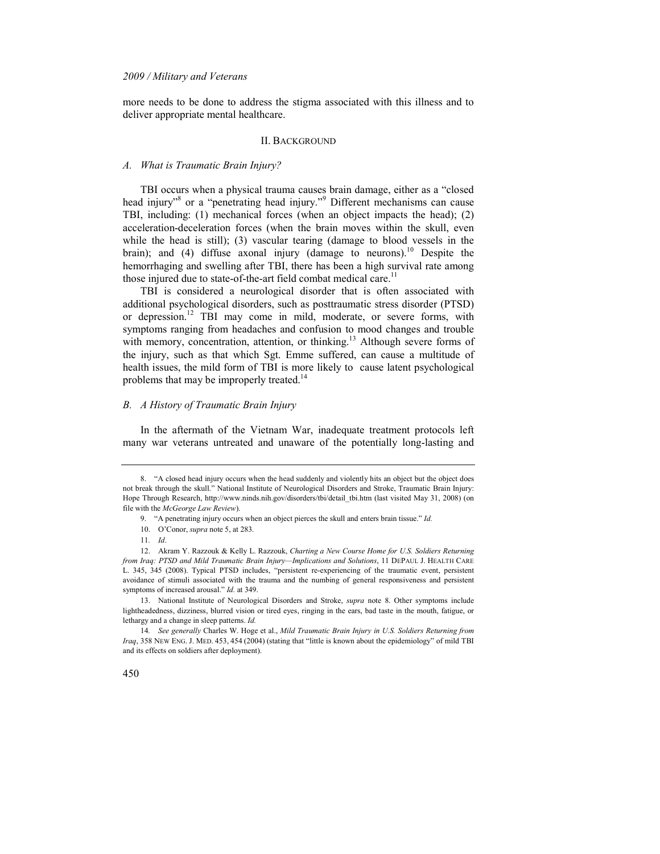more needs to be done to address the stigma associated with this illness and to deliver appropriate mental healthcare.

#### II. BACKGROUND

### *A. What is Traumatic Brain Injury?*

TBI occurs when a physical trauma causes brain damage, either as a "closed head injury"<sup>8</sup> or a "penetrating head injury."<sup>9</sup> Different mechanisms can cause TBI, including: (1) mechanical forces (when an object impacts the head); (2) acceleration-deceleration forces (when the brain moves within the skull, even while the head is still); (3) vascular tearing (damage to blood vessels in the brain); and (4) diffuse axonal injury (damage to neurons).<sup>10</sup> Despite the hemorrhaging and swelling after TBI, there has been a high survival rate among those injured due to state-of-the-art field combat medical care.<sup>11</sup>

TBI is considered a neurological disorder that is often associated with additional psychological disorders, such as posttraumatic stress disorder (PTSD) or depression.<sup>12</sup> TBI may come in mild, moderate, or severe forms, with symptoms ranging from headaches and confusion to mood changes and trouble with memory, concentration, attention, or thinking.<sup>13</sup> Although severe forms of the injury, such as that which Sgt. Emme suffered, can cause a multitude of health issues, the mild form of TBI is more likely to cause latent psychological problems that may be improperly treated.<sup>14</sup>

### *B. A History of Traumatic Brain Injury*

In the aftermath of the Vietnam War, inadequate treatment protocols left many war veterans untreated and unaware of the potentially long-lasting and

13. National Institute of Neurological Disorders and Stroke, *supra* note 8. Other symptoms include lightheadedness, dizziness, blurred vision or tired eyes, ringing in the ears, bad taste in the mouth, fatigue, or lethargy and a change in sleep patterns. *Id.*

14*. See generally* Charles W. Hoge et al., *Mild Traumatic Brain Injury in U.S. Soldiers Returning from Iraq*, 358 NEW ENG. J. MED. 453, 454 (2004) (stating that "little is known about the epidemiology" of mild TBI and its effects on soldiers after deployment).



<sup>8. &</sup>quot;A closed head injury occurs when the head suddenly and violently hits an object but the object does not break through the skull." National Institute of Neurological Disorders and Stroke, Traumatic Brain Injury: Hope Through Research, http://www.ninds.nih.gov/disorders/tbi/detail\_tbi.htm (last visited May 31, 2008) (on file with the *McGeorge Law Review*).

<sup>9. &</sup>quot;A penetrating injury occurs when an object pierces the skull and enters brain tissue." *Id.*

<sup>10.</sup> O'Conor, *supra* note 5, at 283.

<sup>11</sup>*. Id*.

<sup>12.</sup> Akram Y. Razzouk & Kelly L. Razzouk, *Charting a 1ew Course Home for U.S. Soldiers Returning from Iraq: PTSD and Mild Traumatic Brain Injury—Implications and Solutions*, 11 DEPAUL J. HEALTH CARE L. 345, 345 (2008). Typical PTSD includes, "persistent re-experiencing of the traumatic event, persistent avoidance of stimuli associated with the trauma and the numbing of general responsiveness and persistent symptoms of increased arousal." *Id.* at 349.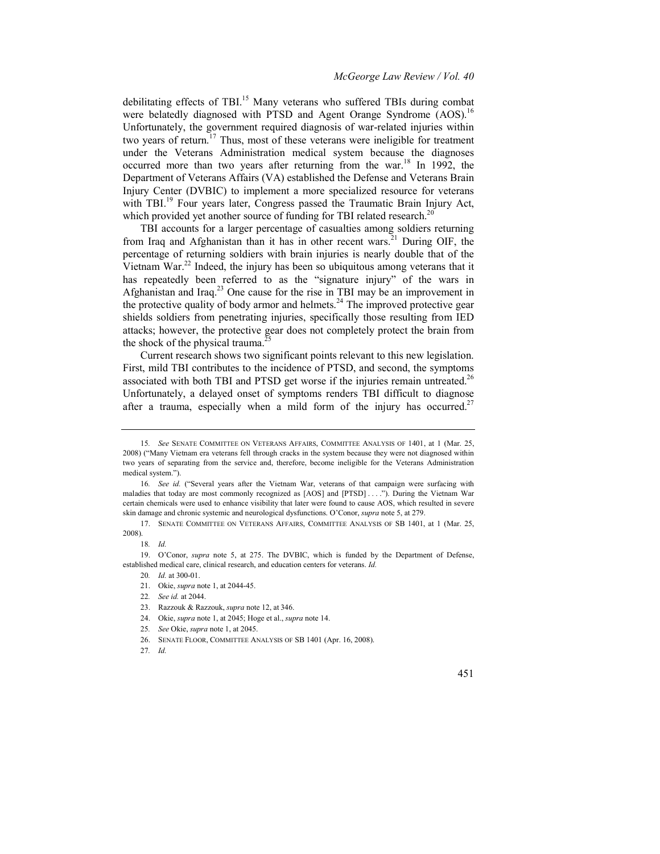debilitating effects of TBI.<sup>15</sup> Many veterans who suffered TBIs during combat were belatedly diagnosed with PTSD and Agent Orange Syndrome (AOS).<sup>16</sup> Unfortunately, the government required diagnosis of war-related injuries within two years of return.<sup>17</sup> Thus, most of these veterans were ineligible for treatment under the Veterans Administration medical system because the diagnoses occurred more than two years after returning from the war.<sup>18</sup> In 1992, the Department of Veterans Affairs (VA) established the Defense and Veterans Brain Injury Center (DVBIC) to implement a more specialized resource for veterans with TBI.<sup>19</sup> Four years later, Congress passed the Traumatic Brain Injury Act, which provided yet another source of funding for TBI related research.<sup>20</sup>

TBI accounts for a larger percentage of casualties among soldiers returning from Iraq and Afghanistan than it has in other recent wars.<sup>21</sup> During OIF, the percentage of returning soldiers with brain injuries is nearly double that of the Vietnam War.<sup>22</sup> Indeed, the injury has been so ubiquitous among veterans that it has repeatedly been referred to as the "signature injury" of the wars in Afghanistan and Iraq.<sup>23</sup> One cause for the rise in TBI may be an improvement in the protective quality of body armor and helmets.<sup>24</sup> The improved protective gear shields soldiers from penetrating injuries, specifically those resulting from IED attacks; however, the protective gear does not completely protect the brain from the shock of the physical trauma.<sup>2</sup>

Current research shows two significant points relevant to this new legislation. First, mild TBI contributes to the incidence of PTSD, and second, the symptoms associated with both TBI and PTSD get worse if the injuries remain untreated.<sup>26</sup> Unfortunately, a delayed onset of symptoms renders TBI difficult to diagnose after a trauma, especially when a mild form of the injury has occurred.<sup>27</sup>

19. O'Conor, *supra* note 5, at 275. The DVBIC, which is funded by the Department of Defense, established medical care, clinical research, and education centers for veterans. *Id.* 

- 25*. See* Okie, *supra* note 1, at 2045.
- 26. SENATE FLOOR, COMMITTEE ANALYSIS OF SB 1401 (Apr. 16, 2008).
- 27*. Id.*

<sup>15</sup>*. See* SENATE COMMITTEE ON VETERANS AFFAIRS, COMMITTEE ANALYSIS OF 1401, at 1 (Mar. 25, 2008) ("Many Vietnam era veterans fell through cracks in the system because they were not diagnosed within two years of separating from the service and, therefore, become ineligible for the Veterans Administration medical system.").

<sup>16</sup>*. See id.* ("Several years after the Vietnam War, veterans of that campaign were surfacing with maladies that today are most commonly recognized as [AOS] and [PTSD] . . . ."). During the Vietnam War certain chemicals were used to enhance visibility that later were found to cause AOS, which resulted in severe skin damage and chronic systemic and neurological dysfunctions. O'Conor, *supra* note 5, at 279.

<sup>17.</sup> SENATE COMMITTEE ON VETERANS AFFAIRS, COMMITTEE ANALYSIS OF SB 1401, at 1 (Mar. 25, 2008).

<sup>18</sup>*. Id.*

<sup>20</sup>*. Id.* at 300-01.

<sup>21.</sup> Okie, *supra* note 1, at 2044-45.

<sup>22</sup>*. See id.* at 2044.

<sup>23.</sup> Razzouk & Razzouk, *supra* note 12, at 346.

<sup>24.</sup> Okie, *supra* note 1, at 2045; Hoge et al., *supra* note 14.

<sup>451</sup>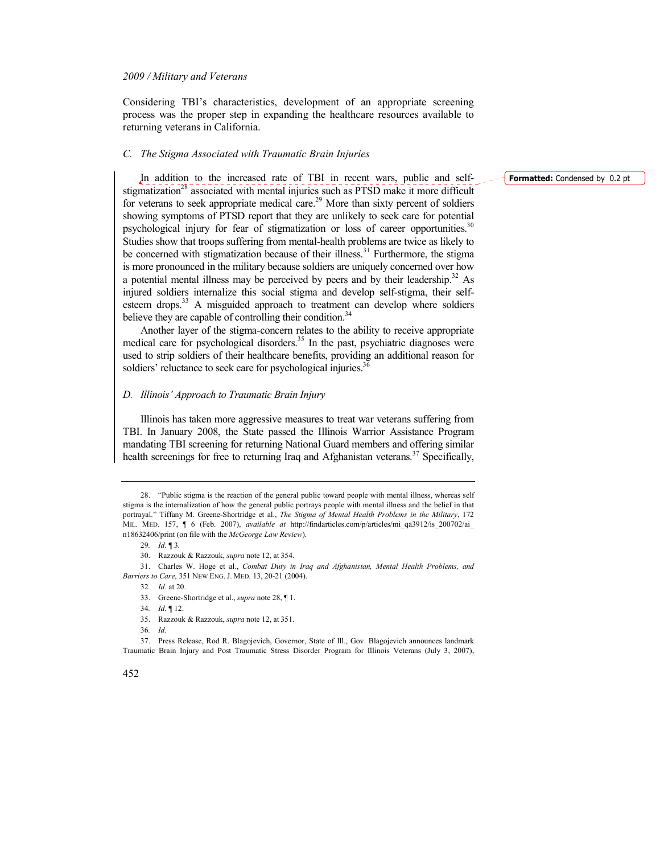Considering TBI's characteristics, development of an appropriate screening process was the proper step in expanding the healthcare resources available to returning veterans in California.

### *C. The Stigma Associated with Traumatic Brain Injuries*

In addition to the increased rate of TBI in recent wars, public and selfstigmatization<sup>28</sup> associated with mental injuries such as PTSD make it more difficult for veterans to seek appropriate medical care.<sup>29</sup> More than sixty percent of soldiers showing symptoms of PTSD report that they are unlikely to seek care for potential psychological injury for fear of stigmatization or loss of career opportunities.<sup>30</sup> Studies show that troops suffering from mental-health problems are twice as likely to be concerned with stigmatization because of their illness.<sup>31</sup> Furthermore, the stigma is more pronounced in the military because soldiers are uniquely concerned over how a potential mental illness may be perceived by peers and by their leadership.<sup>32</sup> As injured soldiers internalize this social stigma and develop self-stigma, their selfesteem drops. $33$  A misguided approach to treatment can develop where soldiers believe they are capable of controlling their condition.<sup>34</sup>

Another layer of the stigma-concern relates to the ability to receive appropriate medical care for psychological disorders. $35$  In the past, psychiatric diagnoses were used to strip soldiers of their healthcare benefits, providing an additional reason for soldiers' reluctance to seek care for psychological injuries.<sup>36</sup>

### *D. Illinois' Approach to Traumatic Brain Injury*

Illinois has taken more aggressive measures to treat war veterans suffering from TBI. In January 2008, the State passed the Illinois Warrior Assistance Program mandating TBI screening for returning National Guard members and offering similar health screenings for free to returning Iraq and Afghanistan veterans.<sup>37</sup> Specifically, **Formatted:** Condensed by 0.2 pt

<sup>28. &</sup>quot;Public stigma is the reaction of the general public toward people with mental illness, whereas self stigma is the internalization of how the general public portrays people with mental illness and the belief in that portrayal." Tiffany M. Greene-Shortridge et al., *The Stigma of Mental Health Problems in the Military*, 172 MIL. MED. 157, ¶ 6 (Feb. 2007), *available at* http://findarticles.com/p/articles/mi\_qa3912/is\_200702/ai\_ n18632406/print (on file with the *McGeorge Law Review*).

<sup>29</sup>*. Id.* ¶ 3*.*

<sup>30.</sup> Razzouk & Razzouk, *supra* note 12, at 354.

<sup>31.</sup> Charles W. Hoge et al., *Combat Duty in Iraq and Afghanistan, Mental Health Problems, and Barriers to Care*, 351 NEW ENG. J. MED. 13, 20-21 (2004).

<sup>32</sup>*. Id.* at 20.

<sup>33.</sup> Greene-Shortridge et al., *supra* note 28, ¶ 1.

<sup>34</sup>*. Id.* ¶ 12.

<sup>35.</sup> Razzouk & Razzouk, *supra* note 12, at 351.

<sup>36</sup>*. Id.*

<sup>37.</sup> Press Release, Rod R. Blagojevich, Governor, State of Ill., Gov. Blagojevich announces landmark Traumatic Brain Injury and Post Traumatic Stress Disorder Program for Illinois Veterans (July 3, 2007),

<sup>452</sup>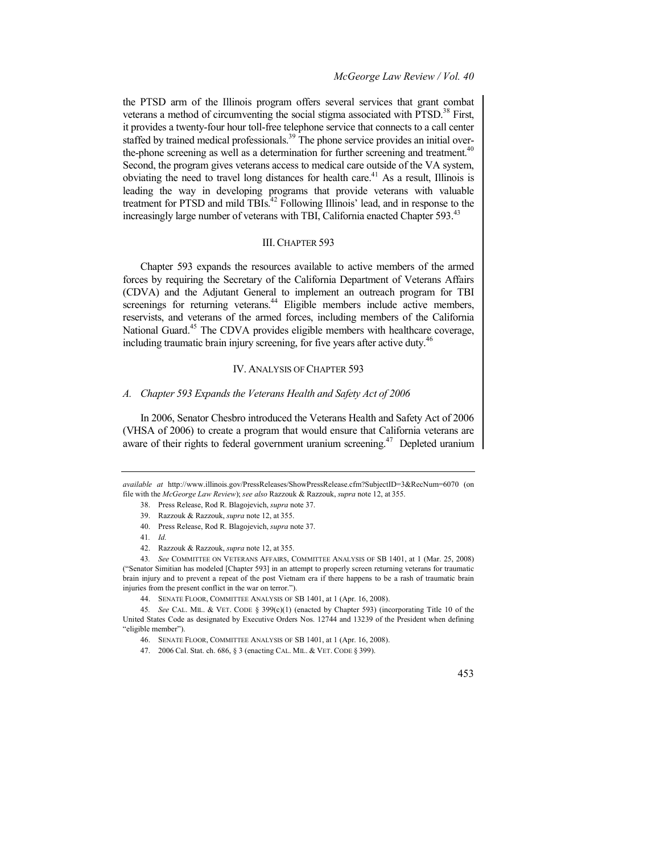### *McGeorge Law Review / Vol. 40*

the PTSD arm of the Illinois program offers several services that grant combat veterans a method of circumventing the social stigma associated with  $PTSD$ <sup>38</sup> First, it provides a twenty-four hour toll-free telephone service that connects to a call center staffed by trained medical professionals.<sup>39</sup> The phone service provides an initial overthe-phone screening as well as a determination for further screening and treatment.<sup>40</sup> Second, the program gives veterans access to medical care outside of the VA system, obviating the need to travel long distances for health care.<sup>41</sup> As a result, Illinois is leading the way in developing programs that provide veterans with valuable treatment for PTSD and mild TBIs.<sup>42</sup> Following Illinois' lead, and in response to the increasingly large number of veterans with TBI, California enacted Chapter 593.<sup>43</sup>

## III.CHAPTER 593

Chapter 593 expands the resources available to active members of the armed forces by requiring the Secretary of the California Department of Veterans Affairs (CDVA) and the Adjutant General to implement an outreach program for TBI screenings for returning veterans.<sup>44</sup> Eligible members include active members, reservists, and veterans of the armed forces, including members of the California National Guard.<sup>45</sup> The CDVA provides eligible members with healthcare coverage, including traumatic brain injury screening, for five years after active duty.<sup>46</sup>

### IV. ANALYSIS OF CHAPTER 593

### *A. Chapter 593 Expands the Veterans Health and Safety Act of 2006*

In 2006, Senator Chesbro introduced the Veterans Health and Safety Act of 2006 (VHSA of 2006) to create a program that would ensure that California veterans are aware of their rights to federal government uranium screening.<sup>47</sup> Depleted uranium

- 38. Press Release, Rod R. Blagojevich, *supra* note 37.
- 39. Razzouk & Razzouk, *supra* note 12, at 355.
- 40. Press Release, Rod R. Blagojevich, *supra* note 37.
- 41*. Id.*
- 42. Razzouk & Razzouk, *supra* note 12, at 355.



*available at* http://www.illinois.gov/PressReleases/ShowPressRelease.cfm?SubjectID=3&RecNum=6070 (on file with the *McGeorge Law Review*); *see also* Razzouk & Razzouk, *supra* note 12, at 355.

<sup>43</sup>*. See* COMMITTEE ON VETERANS AFFAIRS, COMMITTEE ANALYSIS OF SB 1401, at 1 (Mar. 25, 2008) ("Senator Simitian has modeled [Chapter 593] in an attempt to properly screen returning veterans for traumatic brain injury and to prevent a repeat of the post Vietnam era if there happens to be a rash of traumatic brain injuries from the present conflict in the war on terror.").

<sup>44.</sup> SENATE FLOOR, COMMITTEE ANALYSIS OF SB 1401, at 1 (Apr. 16, 2008).

<sup>45</sup>*. See* CAL. MIL. & VET. CODE § 399(c)(1) (enacted by Chapter 593) (incorporating Title 10 of the United States Code as designated by Executive Orders Nos. 12744 and 13239 of the President when defining "eligible member").

<sup>46.</sup> SENATE FLOOR, COMMITTEE ANALYSIS OF SB 1401, at 1 (Apr. 16, 2008).

<sup>47. 2006</sup> Cal. Stat. ch. 686, § 3 (enacting CAL. MIL. & VET. CODE § 399).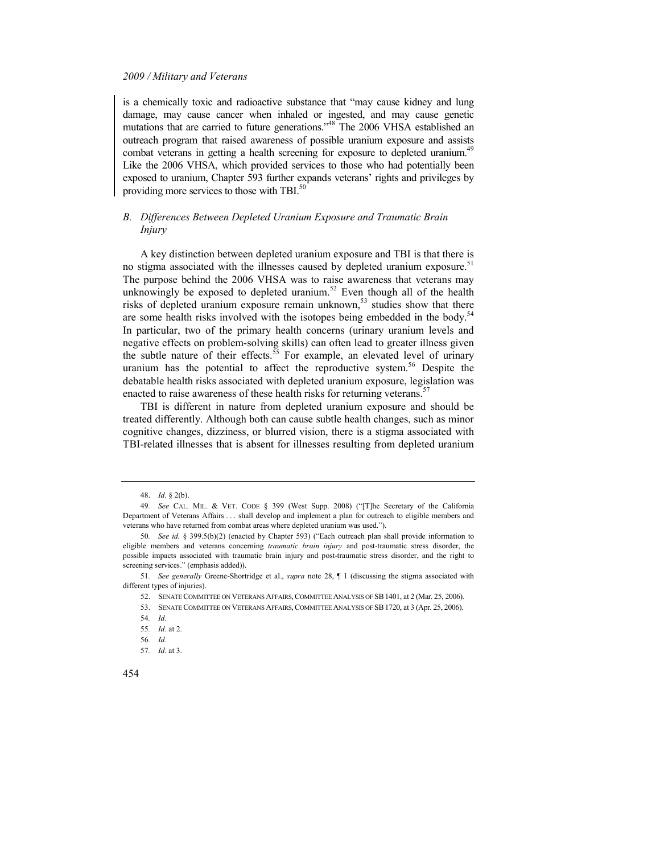is a chemically toxic and radioactive substance that "may cause kidney and lung damage, may cause cancer when inhaled or ingested, and may cause genetic mutations that are carried to future generations."<sup>48</sup> The 2006 VHSA established an outreach program that raised awareness of possible uranium exposure and assists combat veterans in getting a health screening for exposure to depleted uranium.<sup>49</sup> Like the 2006 VHSA, which provided services to those who had potentially been exposed to uranium, Chapter 593 further expands veterans' rights and privileges by providing more services to those with TBI.<sup>50</sup>

### *B. Differences Between Depleted Uranium Exposure and Traumatic Brain Injury*

A key distinction between depleted uranium exposure and TBI is that there is no stigma associated with the illnesses caused by depleted uranium exposure.<sup>51</sup> The purpose behind the 2006 VHSA was to raise awareness that veterans may unknowingly be exposed to depleted uranium.<sup>52</sup> Even though all of the health risks of depleted uranium exposure remain unknown,<sup>53</sup> studies show that there are some health risks involved with the isotopes being embedded in the body.<sup>54</sup> In particular, two of the primary health concerns (urinary uranium levels and negative effects on problem-solving skills) can often lead to greater illness given the subtle nature of their effects.<sup>55</sup> For example, an elevated level of urinary uranium has the potential to affect the reproductive system.<sup>56</sup> Despite the debatable health risks associated with depleted uranium exposure, legislation was enacted to raise awareness of these health risks for returning veterans.<sup>57</sup>

TBI is different in nature from depleted uranium exposure and should be treated differently. Although both can cause subtle health changes, such as minor cognitive changes, dizziness, or blurred vision, there is a stigma associated with TBI-related illnesses that is absent for illnesses resulting from depleted uranium

454

<sup>48.</sup> *Id.* § 2(b).

<sup>49</sup>*. See* CAL. MIL. & VET. CODE § 399 (West Supp. 2008) ("[T]he Secretary of the California Department of Veterans Affairs . . . shall develop and implement a plan for outreach to eligible members and veterans who have returned from combat areas where depleted uranium was used.").

<sup>50</sup>*. See id.* § 399.5(b)(2) (enacted by Chapter 593) ("Each outreach plan shall provide information to eligible members and veterans concerning *traumatic brain injury* and post-traumatic stress disorder, the possible impacts associated with traumatic brain injury and post-traumatic stress disorder, and the right to screening services." (emphasis added)).

<sup>51</sup>*. See generally* Greene-Shortridge et al., *supra* note 28, ¶ 1 (discussing the stigma associated with different types of injuries).

<sup>52.</sup> SENATE COMMITTEE ON VETERANS AFFAIRS,COMMITTEE ANALYSIS OF SB1401, at 2 (Mar. 25, 2006).

<sup>53.</sup> SENATE COMMITTEE ON VETERANS AFFAIRS,COMMITTEE ANALYSIS OF SB1720, at 3 (Apr. 25, 2006).

<sup>54</sup>*. Id.*

<sup>55</sup>*. Id.* at 2.

<sup>56</sup>*. Id.*

<sup>57</sup>*. Id.* at 3.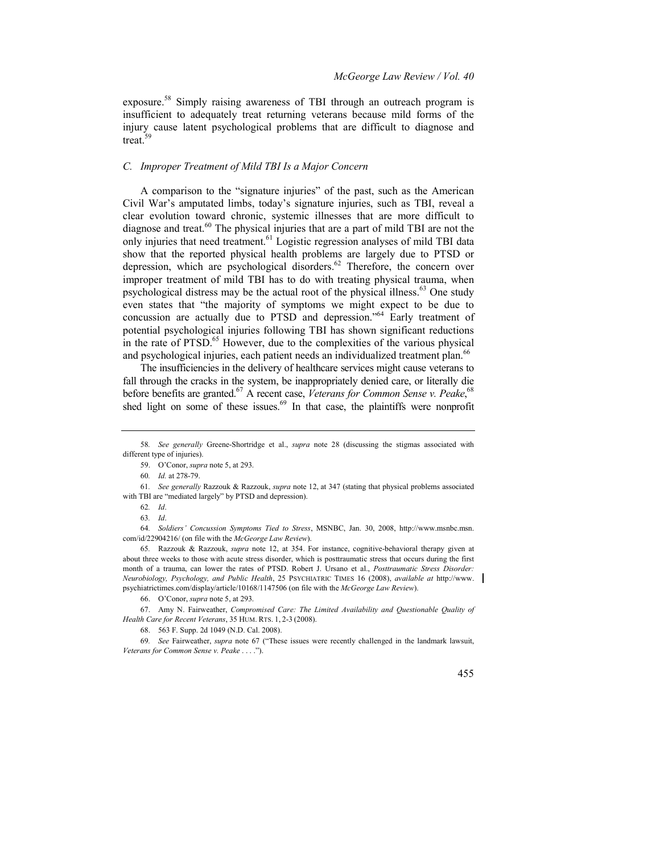exposure.<sup>58</sup> Simply raising awareness of TBI through an outreach program is insufficient to adequately treat returning veterans because mild forms of the injury cause latent psychological problems that are difficult to diagnose and treat.<sup>59</sup>

### *C. Improper Treatment of Mild TBI Is a Major Concern*

A comparison to the "signature injuries" of the past, such as the American Civil War's amputated limbs, today's signature injuries, such as TBI, reveal a clear evolution toward chronic, systemic illnesses that are more difficult to diagnose and treat.<sup>60</sup> The physical injuries that are a part of mild TBI are not the only injuries that need treatment.<sup>61</sup> Logistic regression analyses of mild TBI data show that the reported physical health problems are largely due to PTSD or depression, which are psychological disorders.<sup>62</sup> Therefore, the concern over improper treatment of mild TBI has to do with treating physical trauma, when psychological distress may be the actual root of the physical illness.<sup>63</sup> One study even states that "the majority of symptoms we might expect to be due to concussion are actually due to PTSD and depression." <sup>64</sup> Early treatment of potential psychological injuries following TBI has shown significant reductions in the rate of PTSD.<sup>65</sup> However, due to the complexities of the various physical and psychological injuries, each patient needs an individualized treatment plan.<sup>66</sup>

The insufficiencies in the delivery of healthcare services might cause veterans to fall through the cracks in the system, be inappropriately denied care, or literally die before benefits are granted.<sup>67</sup> A recent case, *Veterans for Common Sense v. Peake*,<sup>68</sup> shed light on some of these issues.<sup>69</sup> In that case, the plaintiffs were nonprofit

64*. Soldiers' Concussion Symptoms Tied to Stress*, MSNBC, Jan. 30, 2008, http://www.msnbc.msn. com/id/22904216/ (on file with the *McGeorge Law Review*).

65*.* Razzouk & Razzouk, *supra* note 12, at 354. For instance, cognitive-behavioral therapy given at about three weeks to those with acute stress disorder, which is posttraumatic stress that occurs during the first month of a trauma, can lower the rates of PTSD. Robert J. Ursano et al., *Posttraumatic Stress Disorder: 1eurobiology, Psychology, and Public Health*, 25 PSYCHIATRIC TIMES 16 (2008), *available at* http://www. psychiatrictimes.com/display/article/10168/1147506 (on file with the *McGeorge Law Review*).

<sup>69</sup>*. See* Fairweather, *supra* note 67 ("These issues were recently challenged in the landmark lawsuit, *Veterans for Common Sense v. Peake* . . . .").



<sup>58</sup>*. See generally* Greene-Shortridge et al., *supra* note 28 (discussing the stigmas associated with different type of injuries).

<sup>59.</sup> O'Conor, *supra* note 5, at 293.

<sup>60</sup>*. Id.* at 278-79.

<sup>61</sup>*. See generally* Razzouk & Razzouk, *supra* note 12, at 347 (stating that physical problems associated with TBI are "mediated largely" by PTSD and depression).

<sup>62</sup>*. Id*.

<sup>63</sup>*. Id*.

<sup>66.</sup> O'Conor, *supra* note 5, at 293.

<sup>67.</sup> Amy N. Fairweather, *Compromised Care: The Limited Availability and Questionable Quality of Health Care for Recent Veterans*, 35 HUM. RTS. 1, 2-3 (2008).

<sup>68. 563</sup> F. Supp. 2d 1049 (N.D. Cal. 2008).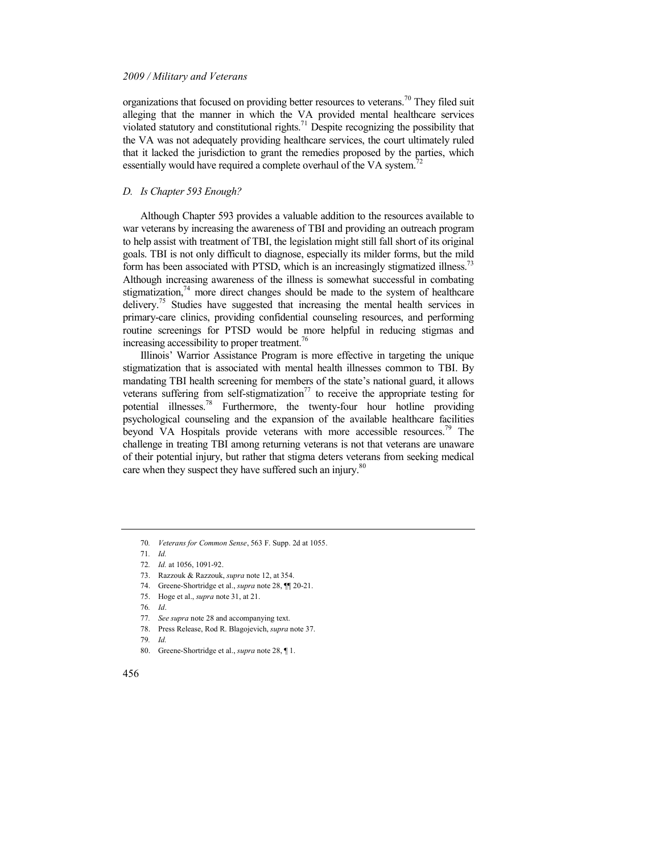organizations that focused on providing better resources to veterans.<sup>70</sup> They filed suit alleging that the manner in which the VA provided mental healthcare services violated statutory and constitutional rights.<sup>71</sup> Despite recognizing the possibility that the VA was not adequately providing healthcare services, the court ultimately ruled that it lacked the jurisdiction to grant the remedies proposed by the parties, which essentially would have required a complete overhaul of the VA system.<sup>72</sup>

### *D. Is Chapter 593 Enough?*

Although Chapter 593 provides a valuable addition to the resources available to war veterans by increasing the awareness of TBI and providing an outreach program to help assist with treatment of TBI, the legislation might still fall short of its original goals. TBI is not only difficult to diagnose, especially its milder forms, but the mild form has been associated with PTSD, which is an increasingly stigmatized illness.<sup>73</sup> Although increasing awareness of the illness is somewhat successful in combating stigmatization, $74$  more direct changes should be made to the system of healthcare delivery.<sup>75</sup> Studies have suggested that increasing the mental health services in primary-care clinics, providing confidential counseling resources, and performing routine screenings for PTSD would be more helpful in reducing stigmas and increasing accessibility to proper treatment.<sup>76</sup>

Illinois' Warrior Assistance Program is more effective in targeting the unique stigmatization that is associated with mental health illnesses common to TBI. By mandating TBI health screening for members of the state's national guard, it allows veterans suffering from self-stigmatization<sup>77</sup> to receive the appropriate testing for potential illnesses.<sup>78</sup> Furthermore, the twenty-four hour hotline providing psychological counseling and the expansion of the available healthcare facilities beyond VA Hospitals provide veterans with more accessible resources.<sup>79</sup> The challenge in treating TBI among returning veterans is not that veterans are unaware of their potential injury, but rather that stigma deters veterans from seeking medical care when they suspect they have suffered such an injury.<sup>80</sup>

- 74. Greene-Shortridge et al., *supra* note 28, ¶¶ 20-21.
- 75. Hoge et al., *supra* note 31, at 21.
- 76*. Id*.
- 77*. See supra* note 28 and accompanying text.
- 78. Press Release, Rod R. Blagojevich, *supra* note 37.

<sup>70</sup>*. Veterans for Common Sense*, 563 F. Supp. 2d at 1055.

<sup>71</sup>*. Id.*

<sup>72</sup>*. Id.* at 1056, 1091-92.

<sup>73.</sup> Razzouk & Razzouk, *supra* note 12, at 354.

<sup>79</sup>*. Id.*

<sup>80.</sup> Greene-Shortridge et al., *supra* note 28, ¶ 1.

<sup>456</sup>